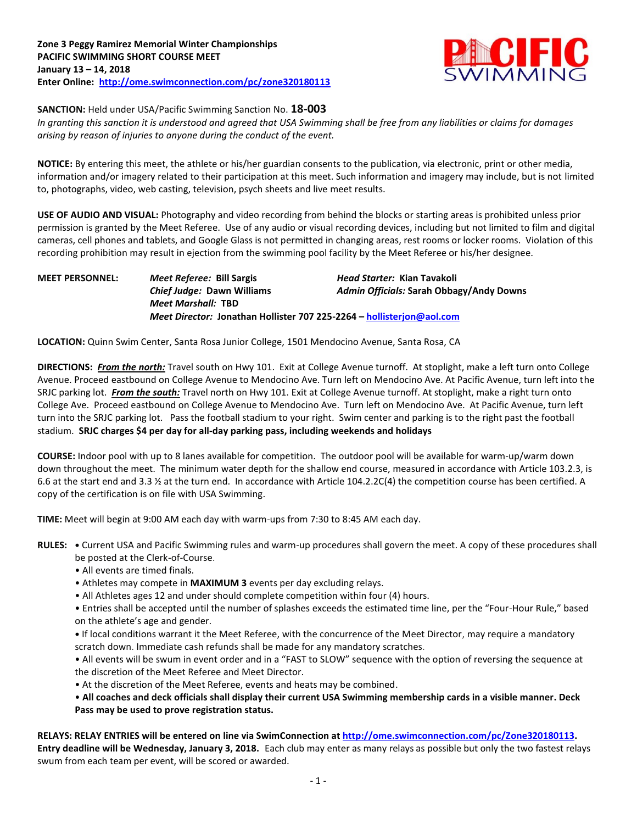

**SANCTION:** Held under USA/Pacific Swimming Sanction No. **18-003**

*In granting this sanction it is understood and agreed that USA Swimming shall be free from any liabilities or claims for damages arising by reason of injuries to anyone during the conduct of the event.*

**NOTICE:** By entering this meet, the athlete or his/her guardian consents to the publication, via electronic, print or other media, information and/or imagery related to their participation at this meet. Such information and imagery may include, but is not limited to, photographs, video, web casting, television, psych sheets and live meet results.

**USE OF AUDIO AND VISUAL:** Photography and video recording from behind the blocks or starting areas is prohibited unless prior permission is granted by the Meet Referee. Use of any audio or visual recording devices, including but not limited to film and digital cameras, cell phones and tablets, and Google Glass is not permitted in changing areas, rest rooms or locker rooms. Violation of this recording prohibition may result in ejection from the swimming pool facility by the Meet Referee or his/her designee.

**MEET PERSONNEL:** *Meet Referee:* **Bill Sargis** *Head Starter:* **Kian Tavakoli** *Chief Judge:* **Dawn Williams** *Admin Officials:* **Sarah Obbagy/Andy Downs** *Meet Marshall:* **TBD** *Meet Director:* **Jonathan Hollister 707 225-2264 – [hollisterjon@aol.com](mailto:hollisterjon@aol.com)**

**LOCATION:** Quinn Swim Center, Santa Rosa Junior College, 1501 Mendocino Avenue, Santa Rosa, CA

**DIRECTIONS:** *From the north:* Travel south on Hwy 101. Exit at College Avenue turnoff. At stoplight, make a left turn onto College Avenue. Proceed eastbound on College Avenue to Mendocino Ave. Turn left on Mendocino Ave. At Pacific Avenue, turn left into the SRJC parking lot. *From the south:* Travel north on Hwy 101. Exit at College Avenue turnoff. At stoplight, make a right turn onto College Ave. Proceed eastbound on College Avenue to Mendocino Ave. Turn left on Mendocino Ave. At Pacific Avenue, turn left turn into the SRJC parking lot. Pass the football stadium to your right. Swim center and parking is to the right past the football stadium. **SRJC charges \$4 per day for all-day parking pass, including weekends and holidays**

**COURSE:** Indoor pool with up to 8 lanes available for competition. The outdoor pool will be available for warm-up/warm down down throughout the meet. The minimum water depth for the shallow end course, measured in accordance with Article 103.2.3, is 6.6 at the start end and 3.3 ½ at the turn end. In accordance with Article 104.2.2C(4) the competition course has been certified. A copy of the certification is on file with USA Swimming.

**TIME:** Meet will begin at 9:00 AM each day with warm-ups from 7:30 to 8:45 AM each day.

**RULES: •** Current USA and Pacific Swimming rules and warm-up procedures shall govern the meet. A copy of these procedures shall be posted at the Clerk-of-Course.

- All events are timed finals.
- Athletes may compete in **MAXIMUM 3** events per day excluding relays.
- All Athletes ages 12 and under should complete competition within four (4) hours.

• Entries shall be accepted until the number of splashes exceeds the estimated time line, per the "Four-Hour Rule," based on the athlete's age and gender.

**•** If local conditions warrant it the Meet Referee, with the concurrence of the Meet Director, may require a mandatory scratch down. Immediate cash refunds shall be made for any mandatory scratches.

• All events will be swum in event order and in a "FAST to SLOW" sequence with the option of reversing the sequence at the discretion of the Meet Referee and Meet Director.

• At the discretion of the Meet Referee, events and heats may be combined.

• **All coaches and deck officials shall display their current USA Swimming membership cards in a visible manner. Deck Pass may be used to prove registration status.**

**RELAYS: RELAY ENTRIES will be entered on line via SwimConnection a[t http://ome.swimconnection.com/pc/Zone320180113.](http://ome.swimconnection.com/pc/Zone320180113) Entry deadline will be Wednesday, January 3, 2018.** Each club may enter as many relays as possible but only the two fastest relays swum from each team per event, will be scored or awarded.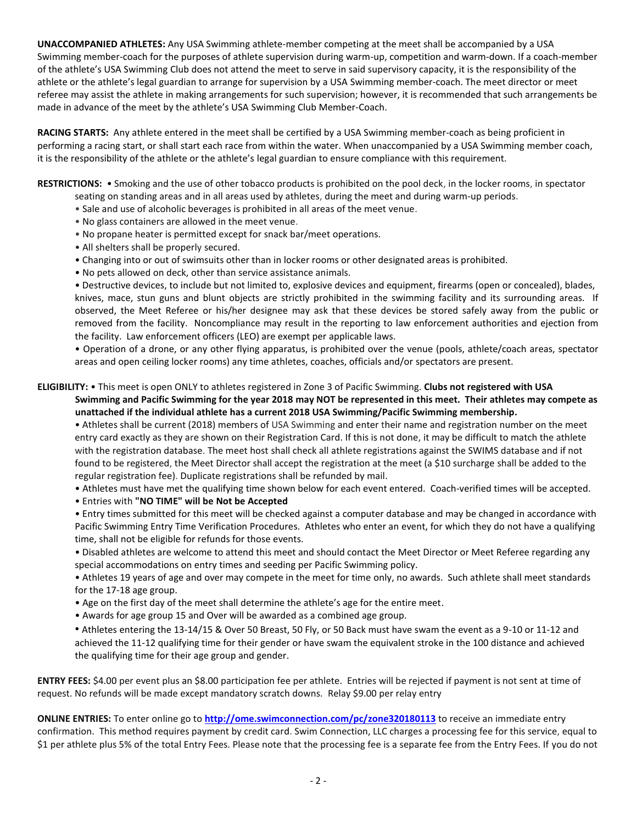**UNACCOMPANIED ATHLETES:** Any USA Swimming athlete-member competing at the meet shall be accompanied by a USA Swimming member-coach for the purposes of athlete supervision during warm-up, competition and warm-down. If a coach-member of the athlete's USA Swimming Club does not attend the meet to serve in said supervisory capacity, it is the responsibility of the athlete or the athlete's legal guardian to arrange for supervision by a USA Swimming member-coach. The meet director or meet referee may assist the athlete in making arrangements for such supervision; however, it is recommended that such arrangements be made in advance of the meet by the athlete's USA Swimming Club Member-Coach.

**RACING STARTS:** Any athlete entered in the meet shall be certified by a USA Swimming member-coach as being proficient in performing a racing start, or shall start each race from within the water. When unaccompanied by a USA Swimming member coach, it is the responsibility of the athlete or the athlete's legal guardian to ensure compliance with this requirement.

**RESTRICTIONS:** • Smoking and the use of other tobacco products is prohibited on the pool deck, in the locker rooms, in spectator

- seating on standing areas and in all areas used by athletes, during the meet and during warm-up periods.
- Sale and use of alcoholic beverages is prohibited in all areas of the meet venue.
- No glass containers are allowed in the meet venue.
- No propane heater is permitted except for snack bar/meet operations.
- All shelters shall be properly secured.
- Changing into or out of swimsuits other than in locker rooms or other designated areas is prohibited.
- No pets allowed on deck, other than service assistance animals.

• Destructive devices, to include but not limited to, explosive devices and equipment, firearms (open or concealed), blades, knives, mace, stun guns and blunt objects are strictly prohibited in the swimming facility and its surrounding areas. If observed, the Meet Referee or his/her designee may ask that these devices be stored safely away from the public or removed from the facility. Noncompliance may result in the reporting to law enforcement authorities and ejection from the facility. Law enforcement officers (LEO) are exempt per applicable laws.

• Operation of a drone, or any other flying apparatus, is prohibited over the venue (pools, athlete/coach areas, spectator areas and open ceiling locker rooms) any time athletes, coaches, officials and/or spectators are present.

## **ELIGIBILITY:** • This meet is open ONLY to athletes registered in Zone 3 of Pacific Swimming. **Clubs not registered with USA**

 **Swimming and Pacific Swimming for the year 2018 may NOT be represented in this meet. Their athletes may compete as unattached if the individual athlete has a current 2018 USA Swimming/Pacific Swimming membership.**

• Athletes shall be current (2018) members of USA Swimming and enter their name and registration number on the meet entry card exactly as they are shown on their Registration Card. If this is not done, it may be difficult to match the athlete with the registration database. The meet host shall check all athlete registrations against the SWIMS database and if not found to be registered, the Meet Director shall accept the registration at the meet (a \$10 surcharge shall be added to the regular registration fee). Duplicate registrations shall be refunded by mail.

• Athletes must have met the qualifying time shown below for each event entered. Coach-verified times will be accepted.

• Entries with **"NO TIME" will be Not be Accepted**

• Entry times submitted for this meet will be checked against a computer database and may be changed in accordance with Pacific Swimming Entry Time Verification Procedures. Athletes who enter an event, for which they do not have a qualifying time, shall not be eligible for refunds for those events.

• Disabled athletes are welcome to attend this meet and should contact the Meet Director or Meet Referee regarding any special accommodations on entry times and seeding per Pacific Swimming policy.

• Athletes 19 years of age and over may compete in the meet for time only, no awards. Such athlete shall meet standards for the 17-18 age group.

• Age on the first day of the meet shall determine the athlete's age for the entire meet.

• Awards for age group 15 and Over will be awarded as a combined age group.

• Athletes entering the 13-14/15 & Over 50 Breast, 50 Fly, or 50 Back must have swam the event as a 9-10 or 11-12 and achieved the 11-12 qualifying time for their gender or have swam the equivalent stroke in the 100 distance and achieved the qualifying time for their age group and gender.

**ENTRY FEES:** \$4.00 per event plus an \$8.00 participation fee per athlete. Entries will be rejected if payment is not sent at time of request. No refunds will be made except mandatory scratch downs. Relay \$9.00 per relay entry

**ONLINE ENTRIES:** To enter online go to **<http://ome.swimconnection.com/pc/zone320180113>** to receive an immediate entry confirmation. This method requires payment by credit card. Swim Connection, LLC charges a processing fee for this service, equal to \$1 per athlete plus 5% of the total Entry Fees. Please note that the processing fee is a separate fee from the Entry Fees. If you do not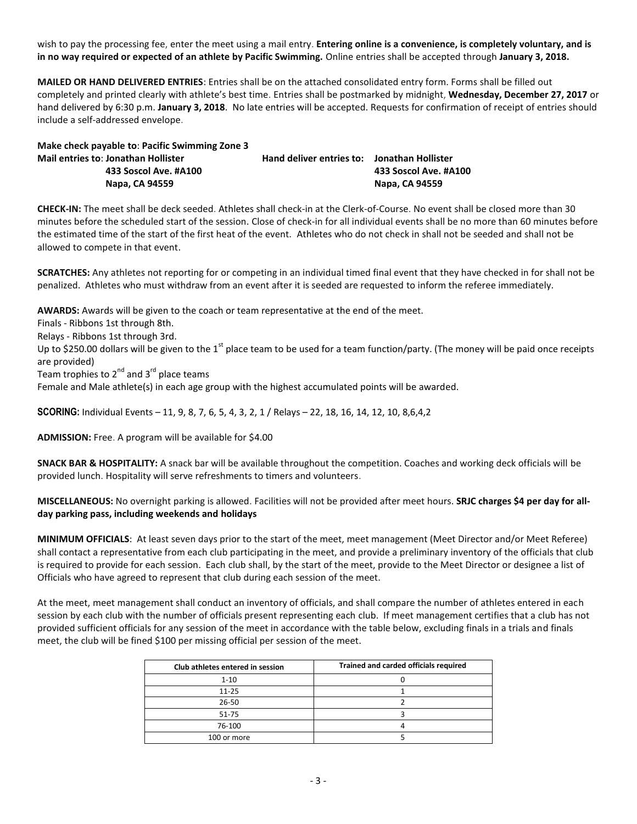wish to pay the processing fee, enter the meet using a mail entry. **Entering online is a convenience, is completely voluntary, and is in no way required or expected of an athlete by Pacific Swimming.** Online entries shall be accepted through **January 3, 2018.**

**MAILED OR HAND DELIVERED ENTRIES**: Entries shall be on the attached consolidated entry form. Forms shall be filled out completely and printed clearly with athlete's best time. Entries shall be postmarked by midnight, **Wednesday, December 27, 2017** or hand delivered by 6:30 p.m. **January 3, 2018**. No late entries will be accepted. Requests for confirmation of receipt of entries should include a self-addressed envelope.

| Make check payable to: Pacific Swimming Zone 3 |                                             |                       |
|------------------------------------------------|---------------------------------------------|-----------------------|
| Mail entries to: Jonathan Hollister            | Hand deliver entries to: Jonathan Hollister |                       |
| 433 Soscol Ave. #A100                          |                                             | 433 Soscol Ave. #A100 |
| Napa, CA 94559                                 |                                             | Napa, CA 94559        |

**CHECK-IN:** The meet shall be deck seeded. Athletes shall check-in at the Clerk-of-Course. No event shall be closed more than 30 minutes before the scheduled start of the session. Close of check-in for all individual events shall be no more than 60 minutes before the estimated time of the start of the first heat of the event. Athletes who do not check in shall not be seeded and shall not be allowed to compete in that event.

**SCRATCHES:** Any athletes not reporting for or competing in an individual timed final event that they have checked in for shall not be penalized. Athletes who must withdraw from an event after it is seeded are requested to inform the referee immediately.

**AWARDS:** Awards will be given to the coach or team representative at the end of the meet.

Finals - Ribbons 1st through 8th.

Relays - Ribbons 1st through 3rd.

Up to \$250.00 dollars will be given to the 1<sup>st</sup> place team to be used for a team function/party. (The money will be paid once receipts are provided)

Team trophies to  $2^{nd}$  and  $3^{rd}$  place teams

Female and Male athlete(s) in each age group with the highest accumulated points will be awarded.

**SCORING:** Individual Events – 11, 9, 8, 7, 6, 5, 4, 3, 2, 1 / Relays – 22, 18, 16, 14, 12, 10, 8,6,4,2

**ADMISSION:** Free. A program will be available for \$4.00

**SNACK BAR & HOSPITALITY:** A snack bar will be available throughout the competition. Coaches and working deck officials will be provided lunch. Hospitality will serve refreshments to timers and volunteers.

**MISCELLANEOUS:** No overnight parking is allowed. Facilities will not be provided after meet hours. **SRJC charges \$4 per day for allday parking pass, including weekends and holidays**

**MINIMUM OFFICIALS**: At least seven days prior to the start of the meet, meet management (Meet Director and/or Meet Referee) shall contact a representative from each club participating in the meet, and provide a preliminary inventory of the officials that club is required to provide for each session. Each club shall, by the start of the meet, provide to the Meet Director or designee a list of Officials who have agreed to represent that club during each session of the meet.

At the meet, meet management shall conduct an inventory of officials, and shall compare the number of athletes entered in each session by each club with the number of officials present representing each club. If meet management certifies that a club has not provided sufficient officials for any session of the meet in accordance with the table below, excluding finals in a trials and finals meet, the club will be fined \$100 per missing official per session of the meet.

| Club athletes entered in session | Trained and carded officials required |
|----------------------------------|---------------------------------------|
| $1 - 10$                         |                                       |
| $11 - 25$                        |                                       |
| $26 - 50$                        |                                       |
| 51-75                            |                                       |
| 76-100                           |                                       |
| 100 or more                      |                                       |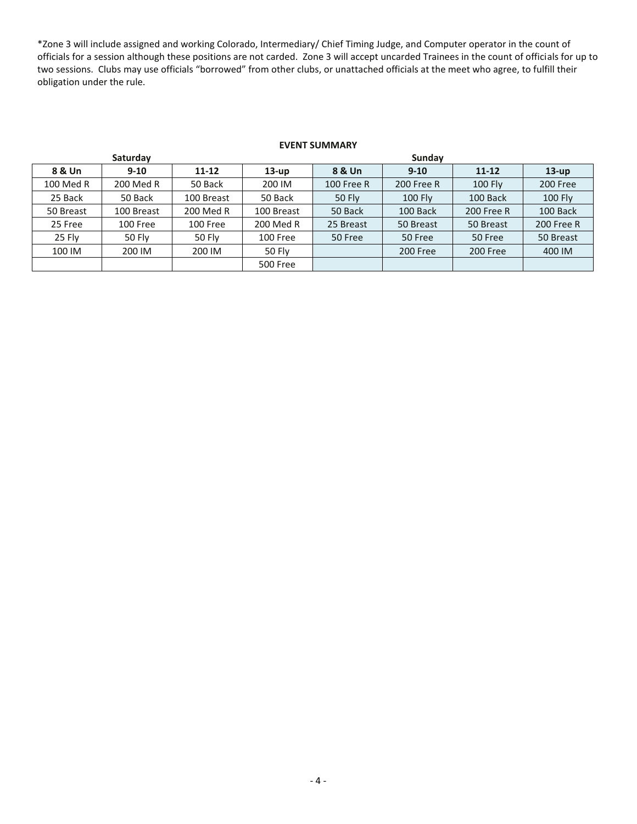\*Zone 3 will include assigned and working Colorado, Intermediary/ Chief Timing Judge, and Computer operator in the count of officials for a session although these positions are not carded. Zone 3 will accept uncarded Trainees in the count of officials for up to two sessions. Clubs may use officials "borrowed" from other clubs, or unattached officials at the meet who agree, to fulfill their obligation under the rule.

## **EVENT SUMMARY**

|           | Saturday      |               |                 | Sunday            |                |            |                   |  |  |
|-----------|---------------|---------------|-----------------|-------------------|----------------|------------|-------------------|--|--|
| 8 & Un    | $9 - 10$      | $11 - 12$     | $13-up$         | 8 & Un            | $9 - 10$       | $11 - 12$  | $13-up$           |  |  |
| 100 Med R | 200 Med R     | 50 Back       | 200 IM          | <b>100 Free R</b> | 200 Free R     | 100 Fly    | 200 Free          |  |  |
| 25 Back   | 50 Back       | 100 Breast    | 50 Back         | <b>50 Fly</b>     | <b>100 Fly</b> | 100 Back   | <b>100 Fly</b>    |  |  |
| 50 Breast | 100 Breast    | 200 Med R     | 100 Breast      | 50 Back           | 100 Back       | 200 Free R | 100 Back          |  |  |
| 25 Free   | 100 Free      | 100 Free      | 200 Med R       | 25 Breast         | 50 Breast      | 50 Breast  | <b>200 Free R</b> |  |  |
| 25 Fly    | <b>50 Fly</b> | <b>50 Fly</b> | 100 Free        | 50 Free           | 50 Free        | 50 Free    | 50 Breast         |  |  |
| 100 IM    | 200 IM        | 200 IM        | <b>50 Fly</b>   |                   | 200 Free       | 200 Free   | 400 IM            |  |  |
|           |               |               | <b>500 Free</b> |                   |                |            |                   |  |  |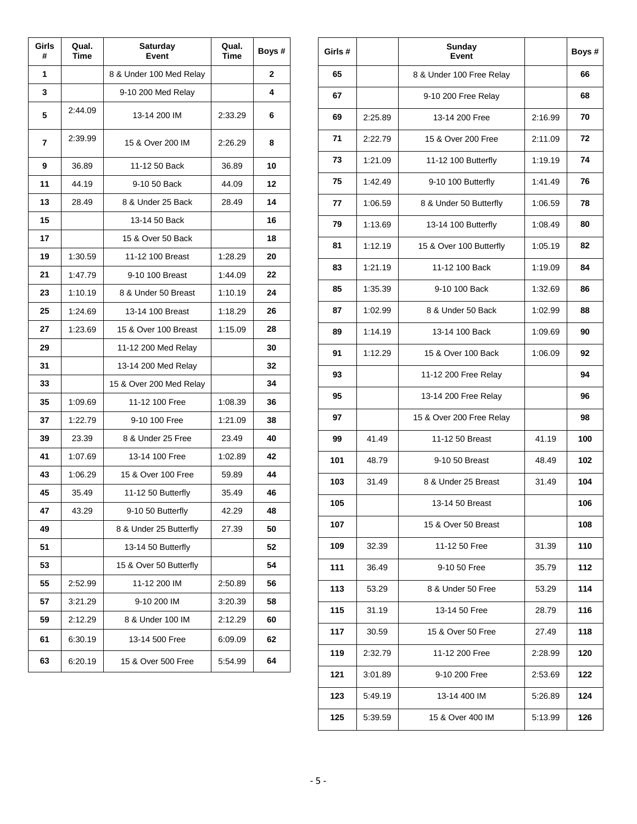| Girls<br># | Qual.<br>Time | Saturday<br>Event       | Qual.<br><b>Time</b> | Boys # |
|------------|---------------|-------------------------|----------------------|--------|
| 1          |               | 8 & Under 100 Med Relay |                      | 2      |
| 3          |               | 9-10 200 Med Relay      |                      | 4      |
| 5          | 2:44.09       | 13-14 200 IM            | 2:33.29              | 6      |
| 7          | 2:39.99       | 15 & Over 200 IM        | 2:26.29              | 8      |
| 9          | 36.89         | 11-12 50 Back           | 36.89                | 10     |
| 11         | 44.19         | 9-10 50 Back            | 44.09                | 12     |
| 13         | 28.49         | 8 & Under 25 Back       | 28.49                | 14     |
| 15         |               | 13-14 50 Back           |                      | 16     |
| 17         |               | 15 & Over 50 Back       |                      | 18     |
| 19         | 1:30.59       | 11-12 100 Breast        | 1:28.29              | 20     |
| 21         | 1:47.79       | 9-10 100 Breast         | 1:44.09              | 22     |
| 23         | 1:10.19       | 8 & Under 50 Breast     | 1:10.19              | 24     |
| 25         | 1:24.69       | 13-14 100 Breast        | 1:18.29              | 26     |
| 27         | 1:23.69       | 15 & Over 100 Breast    | 1:15.09              | 28     |
| 29         |               | 11-12 200 Med Relay     |                      | 30     |
| 31         |               | 13-14 200 Med Relay     |                      | 32     |
| 33         |               | 15 & Over 200 Med Relay |                      | 34     |
| 35         | 1:09.69       | 11-12 100 Free          | 1:08.39              | 36     |
| 37         | 1:22.79       | 9-10 100 Free           | 1:21.09              | 38     |
| 39         | 23.39         | 8 & Under 25 Free       | 23.49                | 40     |
| 41         | 1:07.69       | 13-14 100 Free          | 1:02.89              | 42     |
| 43         | 1:06.29       | 15 & Over 100 Free      | 59.89                | 44     |
| 45         | 35.49         | 11-12 50 Butterfly      | 35.49                | 46     |
| 47         | 43.29         | 9-10 50 Butterfly       | 42.29                | 48     |
| 49         |               | 8 & Under 25 Butterfly  | 27.39                | 50     |
| 51         |               | 13-14 50 Butterfly      |                      | 52     |
| 53         |               | 15 & Over 50 Butterfly  |                      | 54     |
| 55         | 2:52.99       | 11-12 200 IM            | 2:50.89              | 56     |
| 57         | 3:21.29       | 9-10 200 IM             | 3:20.39              | 58     |
| 59         | 2:12.29       | 8 & Under 100 IM        | 2:12.29              | 60     |
| 61         | 6:30.19       | 13-14 500 Free          | 6:09.09              | 62     |
| 63         | 6:20.19       | 15 & Over 500 Free      | 5:54.99              | 64     |

| Girls# |         | Sunday<br>Event          |         | Boys # |
|--------|---------|--------------------------|---------|--------|
| 65     |         | 8 & Under 100 Free Relay |         | 66     |
| 67     |         | 9-10 200 Free Relay      |         | 68     |
| 69     | 2:25.89 | 13-14 200 Free           | 2:16.99 | 70     |
| 71     | 2:22.79 | 15 & Over 200 Free       | 2:11.09 | 72     |
| 73     | 1:21.09 | 11-12 100 Butterfly      | 1:19.19 | 74     |
| 75     | 1:42.49 | 9-10 100 Butterfly       | 1:41.49 | 76     |
| 77     | 1:06.59 | 8 & Under 50 Butterfly   | 1:06.59 | 78     |
| 79     | 1:13.69 | 13-14 100 Butterfly      | 1:08.49 | 80     |
| 81     | 1:12.19 | 15 & Over 100 Butterfly  | 1:05.19 | 82     |
| 83     | 1:21.19 | 11-12 100 Back           | 1:19.09 | 84     |
| 85     | 1:35.39 | 9-10 100 Back            | 1:32.69 | 86     |
| 87     | 1:02.99 | 8 & Under 50 Back        | 1:02.99 | 88     |
| 89     | 1:14.19 | 13-14 100 Back           | 1:09.69 | 90     |
| 91     | 1:12.29 | 15 & Over 100 Back       | 1:06.09 | 92     |
| 93     |         | 11-12 200 Free Relay     |         | 94     |
| 95     |         | 13-14 200 Free Relay     |         | 96     |
| 97     |         | 15 & Over 200 Free Relay |         | 98     |
| 99     | 41.49   | 11-12 50 Breast          | 41.19   | 100    |
| 101    | 48.79   | 9-10 50 Breast           | 48.49   | 102    |
| 103    | 31.49   | 8 & Under 25 Breast      | 31.49   | 104    |
| 105    |         | 13-14 50 Breast          |         | 106    |
| 107    |         | 15 & Over 50 Breast      |         | 108    |
| 109    | 32.39   | 11-12 50 Free            | 31.39   | 110    |
| 111    | 36.49   | 9-10 50 Free             | 35.79   | 112    |
| 113    | 53.29   | 8 & Under 50 Free        | 53.29   | 114    |
| 115    | 31.19   | 13-14 50 Free            | 28.79   | 116    |
| 117    | 30.59   | 15 & Over 50 Free        | 27.49   | 118    |
| 119    | 2:32.79 | 11-12 200 Free           | 2:28.99 | 120    |
| 121    | 3:01.89 | 9-10 200 Free            | 2:53.69 | 122    |
| 123    | 5:49.19 | 13-14 400 IM             | 5:26.89 | 124    |
| 125    | 5:39.59 | 15 & Over 400 IM         | 5:13.99 | 126    |